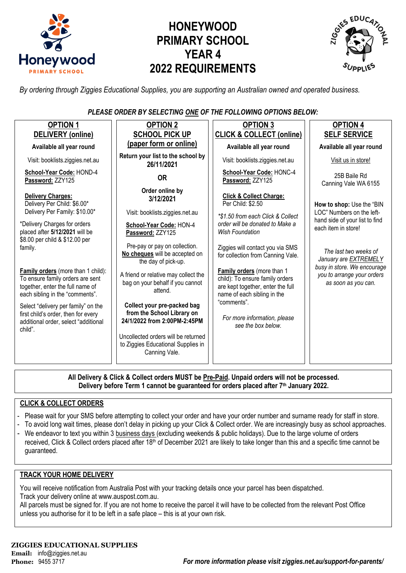

# **HONEYWOOD PRIMARY SCHOOL YEAR 4 2022 REQUIREMENTS**



*By ordering through Ziggies Educational Supplies, you are supporting an Australian owned and operated business.*

*PLEASE ORDER BY SELECTING ONE OF THE FOLLOWING OPTIONS BELOW:*

| <b>OPTION 1</b>                                                                                                                               | <b>OPTION 2</b>                                                                            | <b>OPTION 3</b>                                                                                                                   | <b>OPTION 4</b>                                                                    |
|-----------------------------------------------------------------------------------------------------------------------------------------------|--------------------------------------------------------------------------------------------|-----------------------------------------------------------------------------------------------------------------------------------|------------------------------------------------------------------------------------|
| DELIVERY (online)                                                                                                                             | <b>SCHOOL PICK UP</b>                                                                      | <b>CLICK &amp; COLLECT (online)</b>                                                                                               | <b>SELF SERVICE</b>                                                                |
| Available all year round                                                                                                                      | (paper form or online)                                                                     | Available all year round                                                                                                          | Available all year round                                                           |
| Visit: booklists.ziggies.net.au                                                                                                               | Return your list to the school by<br>26/11/2021                                            | Visit: booklists.ziggies.net.au                                                                                                   | Visit us in store!                                                                 |
| School-Year Code: HOND-4<br>Password: ZZY125                                                                                                  | <b>OR</b>                                                                                  | School-Year Code: HONC-4<br>Password: ZZY125                                                                                      | 25B Baile Rd<br>Canning Vale WA 6155                                               |
| Delivery Charges:<br>Delivery Per Child: \$6.00*                                                                                              | Order online by<br>3/12/2021                                                               | <b>Click &amp; Collect Charge:</b><br>Per Child: \$2.50                                                                           | How to shop: Use the "BIN                                                          |
| Delivery Per Family: \$10.00*<br>*Delivery Charges for orders<br>placed after 5/12/2021 will be<br>\$8.00 per child & \$12.00 per             | Visit: booklists.ziggies.net.au<br>School-Year Code: HON-4<br>Password: ZZY125             | *\$1.50 from each Click & Collect<br>order will be donated to Make a<br><b>Wish Foundation</b>                                    | LOC" Numbers on the left-<br>hand side of your list to find<br>each item in store! |
| family.                                                                                                                                       | Pre-pay or pay on collection.<br>No cheques will be accepted on<br>the day of pick-up.     | Ziggies will contact you via SMS<br>for collection from Canning Vale.                                                             | The last two weeks of<br>January are EXTREMELY                                     |
| Family orders (more than 1 child):<br>To ensure family orders are sent<br>together, enter the full name of<br>each sibling in the "comments". | A friend or relative may collect the<br>bag on your behalf if you cannot<br>attend.        | Family orders (more than 1<br>child): To ensure family orders<br>are kept together, enter the full<br>name of each sibling in the | busy in store. We encourage<br>you to arrange your orders<br>as soon as you can.   |
| Select "delivery per family" on the<br>first child's order, then for every<br>additional order, select "additional<br>child".                 | Collect your pre-packed bag<br>from the School Library on<br>24/1/2022 from 2:00PM-2:45PM  | "comments".<br>For more information, please<br>see the box below.                                                                 |                                                                                    |
|                                                                                                                                               | Uncollected orders will be returned<br>to Ziggies Educational Supplies in<br>Canning Vale. |                                                                                                                                   |                                                                                    |
|                                                                                                                                               |                                                                                            |                                                                                                                                   |                                                                                    |

**All Delivery & Click & Collect orders MUST be Pre-Paid. Unpaid orders will not be processed. Delivery before Term 1 cannot be guaranteed for orders placed after 7th January 2022.**

### **CLICK & COLLECT ORDERS**

- Please wait for your SMS before attempting to collect your order and have your order number and surname ready for staff in store.
- To avoid long wait times, please don't delay in picking up your Click & Collect order. We are increasingly busy as school approaches.
- We endeavor to text you within 3 business days (excluding weekends & public holidays). Due to the large volume of orders received, Click & Collect orders placed after 18<sup>th</sup> of December 2021 are likely to take longer than this and a specific time cannot be guaranteed.

### **TRACK YOUR HOME DELIVERY**

You will receive notification from Australia Post with your tracking details once your parcel has been dispatched. Track your delivery online a[t www.auspost.com.au.](http://www.auspost.com.au/)

All parcels must be signed for. If you are not home to receive the parcel it will have to be collected from the relevant Post Office unless you authorise for it to be left in a safe place – this is at your own risk.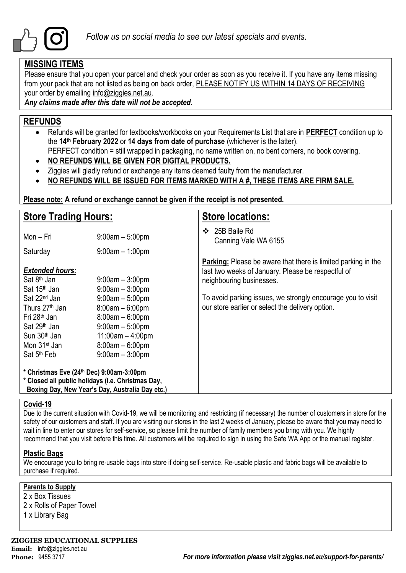

### **MISSING ITEMS**

Please ensure that you open your parcel and check your order as soon as you receive it. If you have any items missing from your pack that are not listed as being on back order, PLEASE NOTIFY US WITHIN 14 DAYS OF RECEIVING your order by emailing info@ziggies.net.au.

*Any claims made after this date will not be accepted.*

### **REFUNDS**

- Refunds will be granted for textbooks/workbooks on your Requirements List that are in **PERFECT** condition up to the **14th February 2022** or **14 days from date of purchase** (whichever is the latter).
	- PERFECT condition = still wrapped in packaging, no name written on, no bent corners, no book covering.
- **NO REFUNDS WILL BE GIVEN FOR DIGITAL PRODUCTS.**
- Ziggies will gladly refund or exchange any items deemed faulty from the manufacturer.
- **NO REFUNDS WILL BE ISSUED FOR ITEMS MARKED WITH A #, THESE ITEMS ARE FIRM SALE.**

**Please note: A refund or exchange cannot be given if the receipt is not presented.**

| <b>Store Trading Hours:</b>                                                                                                                                                                       |                                                                                                                                                  | <b>Store locations:</b>                                                                                                                                |  |  |  |  |
|---------------------------------------------------------------------------------------------------------------------------------------------------------------------------------------------------|--------------------------------------------------------------------------------------------------------------------------------------------------|--------------------------------------------------------------------------------------------------------------------------------------------------------|--|--|--|--|
| Mon - Fri                                                                                                                                                                                         | $9:00am - 5:00pm$                                                                                                                                | 25B Baile Rd<br>❖<br>Canning Vale WA 6155                                                                                                              |  |  |  |  |
| Saturday                                                                                                                                                                                          | $9:00$ am $-1:00$ pm                                                                                                                             |                                                                                                                                                        |  |  |  |  |
| <b>Extended hours:</b><br>Sat 8 <sup>th</sup> Jan<br>Sat 15 <sup>th</sup> Jan                                                                                                                     | $9:00$ am $-3:00$ pm<br>$9:00am - 3:00pm$                                                                                                        | <b>Parking:</b> Please be aware that there is limited parking in the<br>last two weeks of January. Please be respectful of<br>neighbouring businesses. |  |  |  |  |
| Sat 22 <sup>nd</sup> Jan<br>Thurs 27 <sup>th</sup> Jan<br>Fri 28 <sup>th</sup> Jan<br>Sat 29 <sup>th</sup> Jan<br>Sun 30 <sup>th</sup> Jan<br>Mon 31 <sup>st</sup> Jan<br>Sat 5 <sup>th</sup> Feb | $9:00am - 5:00pm$<br>$8:00am - 6:00pm$<br>$8:00am - 6:00pm$<br>$9:00am - 5:00pm$<br>$11:00am - 4:00pm$<br>$8:00am - 6:00pm$<br>$9:00am - 3:00pm$ | To avoid parking issues, we strongly encourage you to visit<br>our store earlier or select the delivery option.                                        |  |  |  |  |
| * Christmas Eve (24th Dec) 9:00am-3:00pm<br>* Closed all public holidays (i.e. Christmas Day,<br>Boxing Day, New Year's Day, Australia Day etc.)                                                  |                                                                                                                                                  |                                                                                                                                                        |  |  |  |  |

### **Covid-19**

Due to the current situation with Covid-19, we will be monitoring and restricting (if necessary) the number of customers in store for the safety of our customers and staff. If you are visiting our stores in the last 2 weeks of January, please be aware that you may need to wait in line to enter our stores for self-service, so please limit the number of family members you bring with you. We highly recommend that you visit before this time. All customers will be required to sign in using the Safe WA App or the manual register.

### **Plastic Bags**

We encourage you to bring re-usable bags into store if doing self-service. Re-usable plastic and fabric bags will be available to purchase if required.

### **Parents to Supply**

2 x Box Tissues 2 x Rolls of Paper Towel 1 x Library Bag